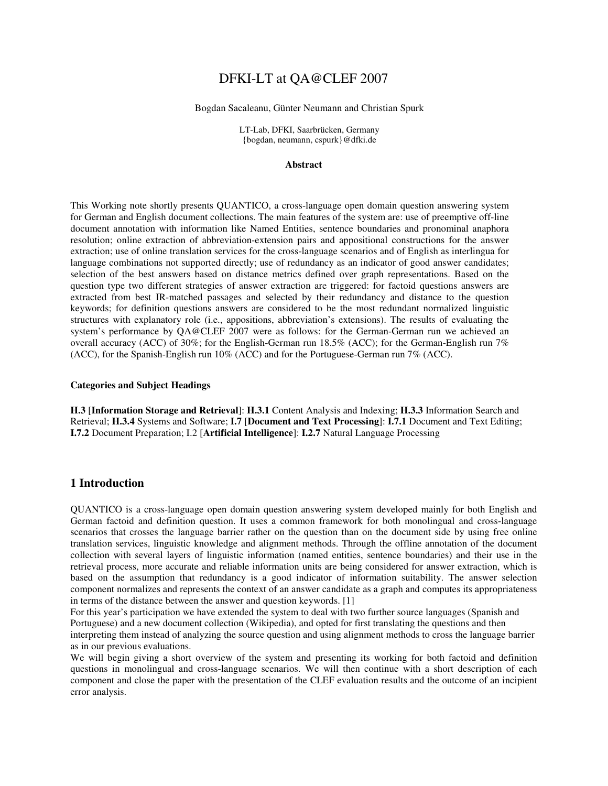# DFKI-LT at QA@CLEF 2007

#### Bogdan Sacaleanu, Günter Neumann and Christian Spurk

LT-Lab, DFKI, Saarbrücken, Germany {bogdan, neumann, cspurk}@dfki.de

#### **Abstract**

This Working note shortly presents QUANTICO, a cross-language open domain question answering system for German and English document collections. The main features of the system are: use of preemptive off-line document annotation with information like Named Entities, sentence boundaries and pronominal anaphora resolution; online extraction of abbreviation-extension pairs and appositional constructions for the answer extraction; use of online translation services for the cross-language scenarios and of English as interlingua for language combinations not supported directly; use of redundancy as an indicator of good answer candidates; selection of the best answers based on distance metrics defined over graph representations. Based on the question type two different strategies of answer extraction are triggered: for factoid questions answers are extracted from best IR-matched passages and selected by their redundancy and distance to the question keywords; for definition questions answers are considered to be the most redundant normalized linguistic structures with explanatory role (i.e., appositions, abbreviation's extensions). The results of evaluating the system's performance by QA@CLEF 2007 were as follows: for the German-German run we achieved an overall accuracy (ACC) of 30%; for the English-German run 18.5% (ACC); for the German-English run 7% (ACC), for the Spanish-English run 10% (ACC) and for the Portuguese-German run 7% (ACC).

#### **Categories and Subject Headings**

**H.3** [**Information Storage and Retrieval**]: **H.3.1** Content Analysis and Indexing; **H.3.3** Information Search and Retrieval; **H.3.4** Systems and Software; **I.7** [**Document and Text Processing**]: **I.7.1** Document and Text Editing; **I.7.2** Document Preparation; I.2 [**Artificial Intelligence**]: **I.2.7** Natural Language Processing

## **1 Introduction**

QUANTICO is a cross-language open domain question answering system developed mainly for both English and German factoid and definition question. It uses a common framework for both monolingual and cross-language scenarios that crosses the language barrier rather on the question than on the document side by using free online translation services, linguistic knowledge and alignment methods. Through the offline annotation of the document collection with several layers of linguistic information (named entities, sentence boundaries) and their use in the retrieval process, more accurate and reliable information units are being considered for answer extraction, which is based on the assumption that redundancy is a good indicator of information suitability. The answer selection component normalizes and represents the context of an answer candidate as a graph and computes its appropriateness in terms of the distance between the answer and question keywords. [1]

For this year's participation we have extended the system to deal with two further source languages (Spanish and Portuguese) and a new document collection (Wikipedia), and opted for first translating the questions and then interpreting them instead of analyzing the source question and using alignment methods to cross the language barrier as in our previous evaluations.

We will begin giving a short overview of the system and presenting its working for both factoid and definition questions in monolingual and cross-language scenarios. We will then continue with a short description of each component and close the paper with the presentation of the CLEF evaluation results and the outcome of an incipient error analysis.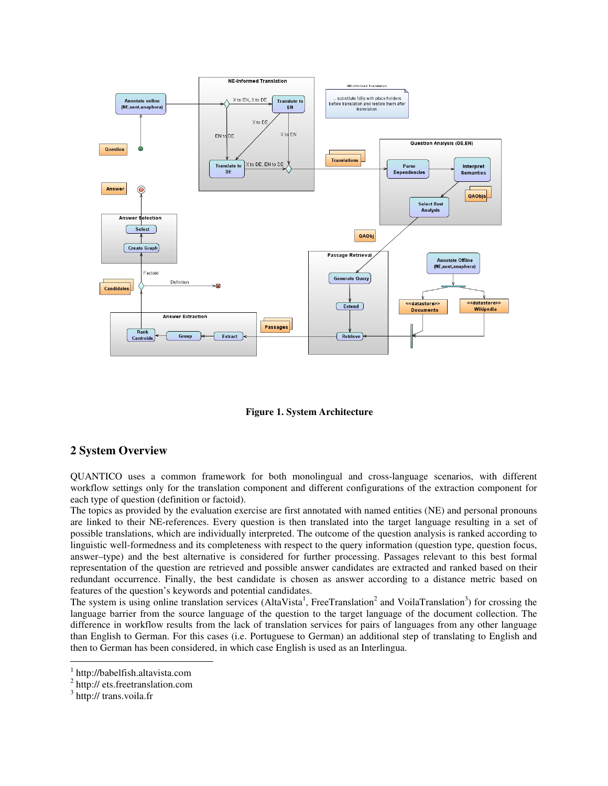

**Figure 1. System Architecture** 

# **2 System Overview**

QUANTICO uses a common framework for both monolingual and cross-language scenarios, with different workflow settings only for the translation component and different configurations of the extraction component for each type of question (definition or factoid).

The topics as provided by the evaluation exercise are first annotated with named entities (NE) and personal pronouns are linked to their NE-references. Every question is then translated into the target language resulting in a set of possible translations, which are individually interpreted. The outcome of the question analysis is ranked according to linguistic well-formedness and its completeness with respect to the query information (question type, question focus, answer–type) and the best alternative is considered for further processing. Passages relevant to this best formal representation of the question are retrieved and possible answer candidates are extracted and ranked based on their redundant occurrence. Finally, the best candidate is chosen as answer according to a distance metric based on features of the question's keywords and potential candidates.

The system is using online translation services (AltaVista<sup>1</sup>, FreeTranslation<sup>2</sup> and VoilaTranslation<sup>3</sup>) for crossing the language barrier from the source language of the question to the target language of the document collection. The difference in workflow results from the lack of translation services for pairs of languages from any other language than English to German. For this cases (i.e. Portuguese to German) an additional step of translating to English and then to German has been considered, in which case English is used as an Interlingua.

 $\overline{a}$ 

<sup>1</sup> http://babelfish.altavista.com

<sup>&</sup>lt;sup>2</sup> http:// ets.freetranslation.com

<sup>&</sup>lt;sup>3</sup> http:// trans.voila.fr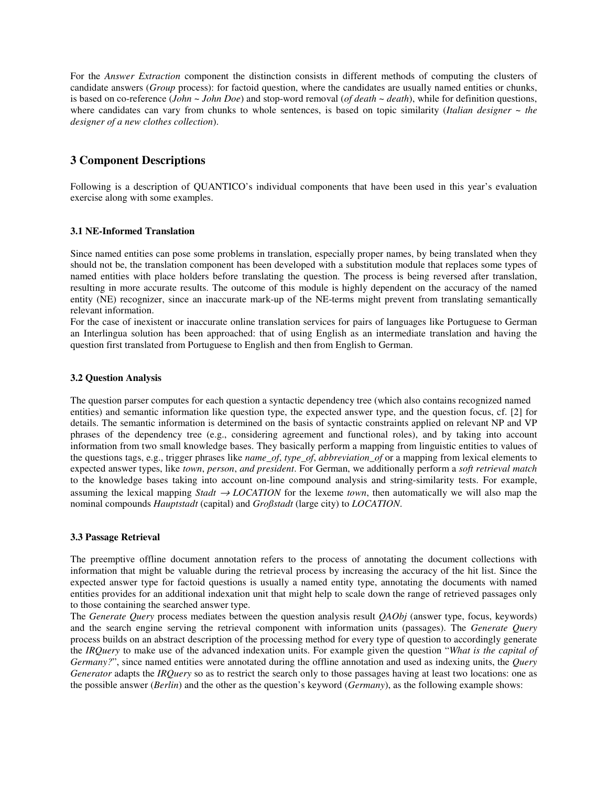For the *Answer Extraction* component the distinction consists in different methods of computing the clusters of candidate answers (*Group* process): for factoid question, where the candidates are usually named entities or chunks, is based on co-reference (*John* ~ *John Doe*) and stop-word removal (*of death* ~ *death*), while for definition questions, where candidates can vary from chunks to whole sentences, is based on topic similarity (*Italian designer* ~ *the designer of a new clothes collection*).

# **3 Component Descriptions**

Following is a description of QUANTICO's individual components that have been used in this year's evaluation exercise along with some examples.

## **3.1 NE-Informed Translation**

Since named entities can pose some problems in translation, especially proper names, by being translated when they should not be, the translation component has been developed with a substitution module that replaces some types of named entities with place holders before translating the question. The process is being reversed after translation, resulting in more accurate results. The outcome of this module is highly dependent on the accuracy of the named entity (NE) recognizer, since an inaccurate mark-up of the NE-terms might prevent from translating semantically relevant information.

For the case of inexistent or inaccurate online translation services for pairs of languages like Portuguese to German an Interlingua solution has been approached: that of using English as an intermediate translation and having the question first translated from Portuguese to English and then from English to German.

### **3.2 Question Analysis**

The question parser computes for each question a syntactic dependency tree (which also contains recognized named entities) and semantic information like question type, the expected answer type, and the question focus, cf. [2] for details. The semantic information is determined on the basis of syntactic constraints applied on relevant NP and VP phrases of the dependency tree (e.g., considering agreement and functional roles), and by taking into account information from two small knowledge bases. They basically perform a mapping from linguistic entities to values of the questions tags, e.g., trigger phrases like *name\_of*, *type\_of*, *abbreviation\_of* or a mapping from lexical elements to expected answer types, like *town*, *person*, *and president*. For German, we additionally perform a *soft retrieval match* to the knowledge bases taking into account on-line compound analysis and string-similarity tests. For example, assuming the lexical mapping *Stadt*  $\rightarrow$  *LOCATION* for the lexeme *town*, then automatically we will also map the nominal compounds *Hauptstadt* (capital) and *Großstadt* (large city) to *LOCATION*.

### **3.3 Passage Retrieval**

The preemptive offline document annotation refers to the process of annotating the document collections with information that might be valuable during the retrieval process by increasing the accuracy of the hit list. Since the expected answer type for factoid questions is usually a named entity type, annotating the documents with named entities provides for an additional indexation unit that might help to scale down the range of retrieved passages only to those containing the searched answer type.

The *Generate Query* process mediates between the question analysis result *QAObj* (answer type, focus, keywords) and the search engine serving the retrieval component with information units (passages). The *Generate Query* process builds on an abstract description of the processing method for every type of question to accordingly generate the *IRQuery* to make use of the advanced indexation units. For example given the question "*What is the capital of Germany?*", since named entities were annotated during the offline annotation and used as indexing units, the *Query Generator* adapts the *IRQuery* so as to restrict the search only to those passages having at least two locations: one as the possible answer (*Berlin*) and the other as the question's keyword (*Germany*), as the following example shows: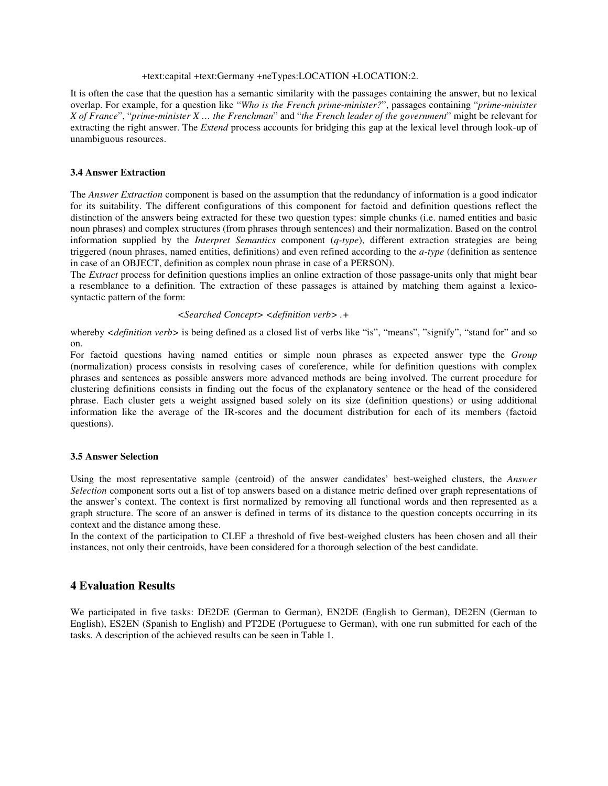### +text:capital +text:Germany +neTypes:LOCATION +LOCATION:2.

It is often the case that the question has a semantic similarity with the passages containing the answer, but no lexical overlap. For example, for a question like "*Who is the French prime-minister?*", passages containing "*prime-minister X of France*", "*prime-minister X … the Frenchman*" and "*the French leader of the government*" might be relevant for extracting the right answer. The *Extend* process accounts for bridging this gap at the lexical level through look-up of unambiguous resources.

### **3.4 Answer Extraction**

The *Answer Extraction* component is based on the assumption that the redundancy of information is a good indicator for its suitability. The different configurations of this component for factoid and definition questions reflect the distinction of the answers being extracted for these two question types: simple chunks (i.e. named entities and basic noun phrases) and complex structures (from phrases through sentences) and their normalization. Based on the control information supplied by the *Interpret Semantics* component (*q-type*), different extraction strategies are being triggered (noun phrases, named entities, definitions) and even refined according to the *a-type* (definition as sentence in case of an OBJECT, definition as complex noun phrase in case of a PERSON).

The *Extract* process for definition questions implies an online extraction of those passage-units only that might bear a resemblance to a definition. The extraction of these passages is attained by matching them against a lexicosyntactic pattern of the form:

#### *<Searched Concept> <definition verb> .+*

whereby *<definition verb>* is being defined as a closed list of verbs like "is", "means", "signify", "stand for" and so on.

For factoid questions having named entities or simple noun phrases as expected answer type the *Group* (normalization) process consists in resolving cases of coreference, while for definition questions with complex phrases and sentences as possible answers more advanced methods are being involved. The current procedure for clustering definitions consists in finding out the focus of the explanatory sentence or the head of the considered phrase. Each cluster gets a weight assigned based solely on its size (definition questions) or using additional information like the average of the IR-scores and the document distribution for each of its members (factoid questions).

### **3.5 Answer Selection**

Using the most representative sample (centroid) of the answer candidates' best-weighed clusters, the *Answer Selection* component sorts out a list of top answers based on a distance metric defined over graph representations of the answer's context. The context is first normalized by removing all functional words and then represented as a graph structure. The score of an answer is defined in terms of its distance to the question concepts occurring in its context and the distance among these.

In the context of the participation to CLEF a threshold of five best-weighed clusters has been chosen and all their instances, not only their centroids, have been considered for a thorough selection of the best candidate.

# **4 Evaluation Results**

We participated in five tasks: DE2DE (German to German), EN2DE (English to German), DE2EN (German to English), ES2EN (Spanish to English) and PT2DE (Portuguese to German), with one run submitted for each of the tasks. A description of the achieved results can be seen in Table 1.